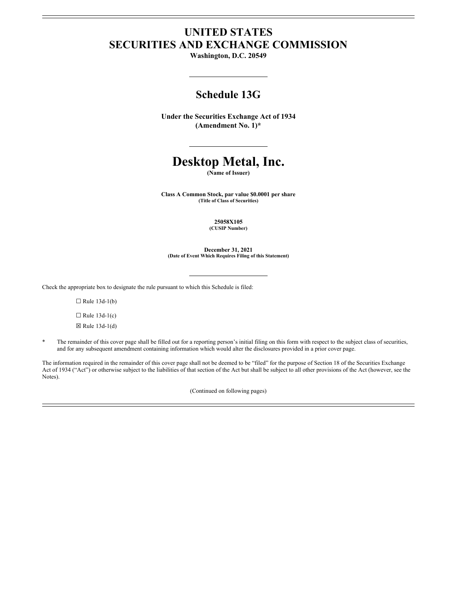# **UNITED STATES SECURITIES AND EXCHANGE COMMISSION**

**Washington, D.C. 20549**

# **Schedule 13G**

**Under the Securities Exchange Act of 1934 (Amendment No. 1)\***

# **Desktop Metal, Inc.**

**(Name of Issuer)**

**Class A Common Stock, par value \$0.0001 per share (Title of Class of Securities)**

> **25058X105 (CUSIP Number)**

**December 31, 2021 (Date of Event Which Requires Filing of this Statement)**

Check the appropriate box to designate the rule pursuant to which this Schedule is filed:

 $\Box$  Rule 13d-1(b)

 $\Box$  Rule 13d-1(c)

 $\boxtimes$  Rule 13d-1(d)

The remainder of this cover page shall be filled out for a reporting person's initial filing on this form with respect to the subject class of securities, and for any subsequent amendment containing information which would alter the disclosures provided in a prior cover page.

The information required in the remainder of this cover page shall not be deemed to be "filed" for the purpose of Section 18 of the Securities Exchange Act of 1934 ("Act") or otherwise subject to the liabilities of that section of the Act but shall be subject to all other provisions of the Act (however, see the Notes).

(Continued on following pages)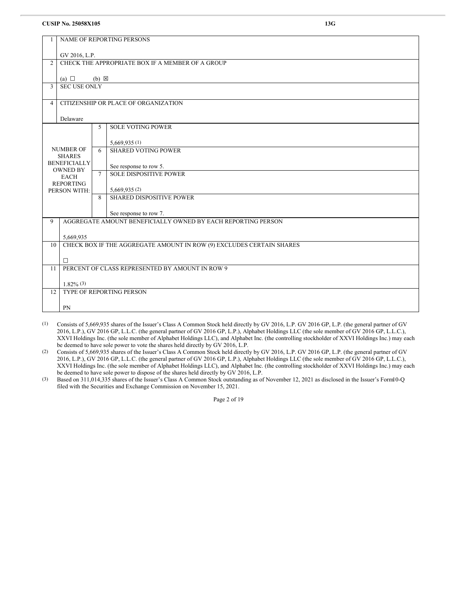|                |                                                              |                 | NAME OF REPORTING PERSONS                                            |  |  |
|----------------|--------------------------------------------------------------|-----------------|----------------------------------------------------------------------|--|--|
|                |                                                              |                 |                                                                      |  |  |
|                | GV 2016, L.P.                                                |                 |                                                                      |  |  |
| $\overline{2}$ |                                                              |                 | CHECK THE APPROPRIATE BOX IF A MEMBER OF A GROUP                     |  |  |
|                |                                                              |                 |                                                                      |  |  |
| 3              | (a) $\Box$<br><b>SEC USE ONLY</b>                            | $(b) \boxtimes$ |                                                                      |  |  |
|                |                                                              |                 |                                                                      |  |  |
| 4              |                                                              |                 | CITIZENSHIP OR PLACE OF ORGANIZATION                                 |  |  |
|                |                                                              |                 |                                                                      |  |  |
|                | Delaware                                                     |                 |                                                                      |  |  |
|                |                                                              | 5               | <b>SOLE VOTING POWER</b>                                             |  |  |
|                |                                                              |                 |                                                                      |  |  |
|                | <b>NUMBER OF</b>                                             | 6               | 5,669,935(1)<br><b>SHARED VOTING POWER</b>                           |  |  |
|                | <b>SHARES</b>                                                |                 |                                                                      |  |  |
|                | <b>BENEFICIALLY</b>                                          |                 | See response to row 5.                                               |  |  |
|                | <b>OWNED BY</b>                                              | $\tau$          | <b>SOLE DISPOSITIVE POWER</b>                                        |  |  |
|                | <b>EACH</b><br><b>REPORTING</b>                              |                 |                                                                      |  |  |
|                | PERSON WITH:                                                 |                 | 5,669,935(2)                                                         |  |  |
|                |                                                              | 8               | <b>SHARED DISPOSITIVE POWER</b>                                      |  |  |
|                |                                                              |                 |                                                                      |  |  |
|                |                                                              |                 | See response to row 7.                                               |  |  |
| 9              | AGGREGATE AMOUNT BENEFICIALLY OWNED BY EACH REPORTING PERSON |                 |                                                                      |  |  |
|                | 5,669,935                                                    |                 |                                                                      |  |  |
| 10             |                                                              |                 | CHECK BOX IF THE AGGREGATE AMOUNT IN ROW (9) EXCLUDES CERTAIN SHARES |  |  |
|                |                                                              |                 |                                                                      |  |  |
|                | $\Box$                                                       |                 |                                                                      |  |  |
| 11             |                                                              |                 | PERCENT OF CLASS REPRESENTED BY AMOUNT IN ROW 9                      |  |  |
|                |                                                              |                 |                                                                      |  |  |
|                | $1.82\%$ (3)                                                 |                 |                                                                      |  |  |
| 12             |                                                              |                 | TYPE OF REPORTING PERSON                                             |  |  |
|                | PN                                                           |                 |                                                                      |  |  |
|                |                                                              |                 |                                                                      |  |  |

(1) Consists of 5,669,935 shares of the Issuer's Class A Common Stock held directly by GV 2016, L.P. GV 2016 GP, L.P. (the general partner of GV 2016, L.P.), GV 2016 GP, L.L.C. (the general partner of GV 2016 GP, L.P.), Alphabet Holdings LLC (the sole member of GV 2016 GP, L.L.C.), XXVI Holdings Inc. (the sole member of Alphabet Holdings LLC), and Alphabet Inc. (the controlling stockholder of XXVI Holdings Inc.) may each be deemed to have sole power to vote the shares held directly by GV 2016, L.P.

(2) Consists of 5,669,935 shares of the Issuer's Class A Common Stock held directly by GV 2016, L.P. GV 2016 GP, L.P. (the general partner of GV 2016, L.P.), GV 2016 GP, L.L.C. (the general partner of GV 2016 GP, L.P.), Alphabet Holdings LLC (the sole member of GV 2016 GP, L.L.C.), XXVI Holdings Inc. (the sole member of Alphabet Holdings LLC), and Alphabet Inc. (the controlling stockholder of XXVI Holdings Inc.) may each be deemed to have sole power to dispose of the shares held directly by GV 2016, L.P.

(3) Based on 311,014,335 shares of the Issuer's Class A Common Stock outstanding as of November 12, 2021 as disclosed in the Issuer's Form10-Q filed with the Securities and Exchange Commission on November 15, 2021.

Page 2 of 19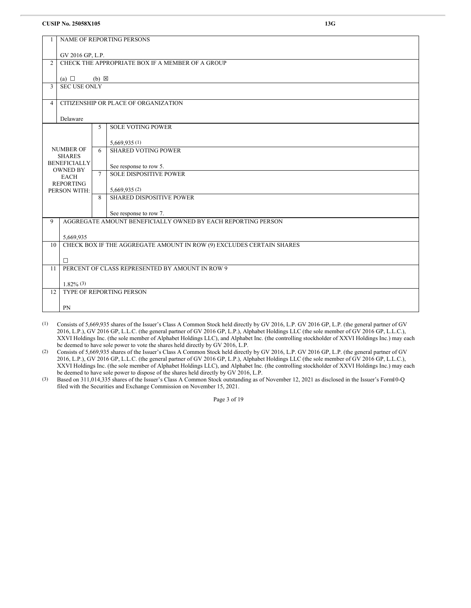|                | <b>CUSIP No. 25058X105</b><br>13G |                 |                                                                      |  |  |
|----------------|-----------------------------------|-----------------|----------------------------------------------------------------------|--|--|
|                | NAME OF REPORTING PERSONS         |                 |                                                                      |  |  |
|                | GV 2016 GP, L.P.                  |                 |                                                                      |  |  |
| 2              |                                   |                 | CHECK THE APPROPRIATE BOX IF A MEMBER OF A GROUP                     |  |  |
|                | (a) $\Box$                        | $(b) \boxtimes$ |                                                                      |  |  |
| 3              | <b>SEC USE ONLY</b>               |                 |                                                                      |  |  |
| $\overline{4}$ |                                   |                 | CITIZENSHIP OR PLACE OF ORGANIZATION                                 |  |  |
|                | Delaware                          |                 |                                                                      |  |  |
|                |                                   | 5               | <b>SOLE VOTING POWER</b>                                             |  |  |
|                |                                   |                 | 5,669,935(1)                                                         |  |  |
|                | <b>NUMBER OF</b><br><b>SHARES</b> | 6               | <b>SHARED VOTING POWER</b>                                           |  |  |
|                | <b>BENEFICIALLY</b>               |                 | See response to row 5.                                               |  |  |
|                | <b>OWNED BY</b><br><b>EACH</b>    | $\tau$          | <b>SOLE DISPOSITIVE POWER</b>                                        |  |  |
|                | <b>REPORTING</b><br>PERSON WITH:  |                 | 5,669,935(2)                                                         |  |  |
|                |                                   | 8               | <b>SHARED DISPOSITIVE POWER</b>                                      |  |  |
|                |                                   |                 | See response to row 7.                                               |  |  |
| 9              |                                   |                 | AGGREGATE AMOUNT BENEFICIALLY OWNED BY EACH REPORTING PERSON         |  |  |
|                | 5,669,935                         |                 |                                                                      |  |  |
| 10             |                                   |                 | CHECK BOX IF THE AGGREGATE AMOUNT IN ROW (9) EXCLUDES CERTAIN SHARES |  |  |
|                | $\Box$                            |                 |                                                                      |  |  |
| 11             |                                   |                 | PERCENT OF CLASS REPRESENTED BY AMOUNT IN ROW 9                      |  |  |
|                | $1.82\%$ (3)                      |                 |                                                                      |  |  |
| 12             |                                   |                 | <b>TYPE OF REPORTING PERSON</b>                                      |  |  |
|                | PN                                |                 |                                                                      |  |  |

(1) Consists of 5,669,935 shares of the Issuer's Class A Common Stock held directly by GV 2016, L.P. GV 2016 GP, L.P. (the general partner of GV 2016, L.P.), GV 2016 GP, L.L.C. (the general partner of GV 2016 GP, L.P.), Alphabet Holdings LLC (the sole member of GV 2016 GP, L.L.C.), XXVI Holdings Inc. (the sole member of Alphabet Holdings LLC), and Alphabet Inc. (the controlling stockholder of XXVI Holdings Inc.) may each be deemed to have sole power to vote the shares held directly by GV 2016, L.P.

(2) Consists of 5,669,935 shares of the Issuer's Class A Common Stock held directly by GV 2016, L.P. GV 2016 GP, L.P. (the general partner of GV 2016, L.P.), GV 2016 GP, L.L.C. (the general partner of GV 2016 GP, L.P.), Alphabet Holdings LLC (the sole member of GV 2016 GP, L.L.C.), XXVI Holdings Inc. (the sole member of Alphabet Holdings LLC), and Alphabet Inc. (the controlling stockholder of XXVI Holdings Inc.) may each be deemed to have sole power to dispose of the shares held directly by GV 2016, L.P.

(3) Based on 311,014,335 shares of the Issuer's Class A Common Stock outstanding as of November 12, 2021 as disclosed in the Issuer's Form10-Q filed with the Securities and Exchange Commission on November 15, 2021.

Page 3 of 19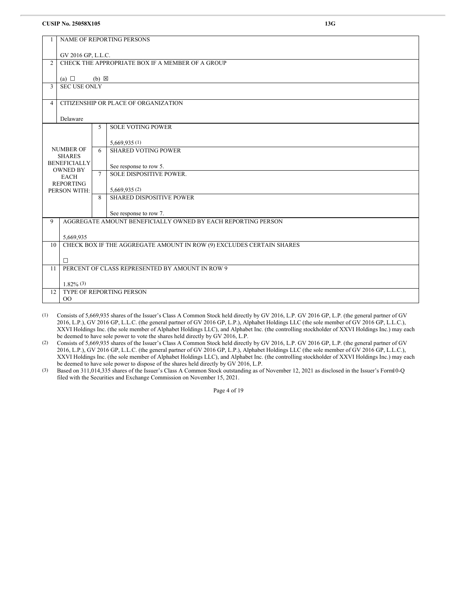| 1              | NAME OF REPORTING PERSONS                                                  |                 |                                                              |  |  |
|----------------|----------------------------------------------------------------------------|-----------------|--------------------------------------------------------------|--|--|
|                | GV 2016 GP, L.L.C.                                                         |                 |                                                              |  |  |
| $\overline{2}$ |                                                                            |                 | CHECK THE APPROPRIATE BOX IF A MEMBER OF A GROUP             |  |  |
|                | (a) $\Box$                                                                 | $(b) \boxtimes$ |                                                              |  |  |
| 3              | <b>SEC USE ONLY</b>                                                        |                 |                                                              |  |  |
| $\overline{4}$ |                                                                            |                 | CITIZENSHIP OR PLACE OF ORGANIZATION                         |  |  |
|                | Delaware                                                                   |                 |                                                              |  |  |
|                |                                                                            | 5               | <b>SOLE VOTING POWER</b>                                     |  |  |
|                |                                                                            |                 | 5,669,935(1)                                                 |  |  |
|                | <b>NUMBER OF</b><br><b>SHARES</b>                                          | 6               | <b>SHARED VOTING POWER</b>                                   |  |  |
|                | <b>BENEFICIALLY</b><br><b>OWNED BY</b>                                     |                 | See response to row 5.                                       |  |  |
|                | <b>EACH</b>                                                                | $\tau$          | <b>SOLE DISPOSITIVE POWER.</b>                               |  |  |
|                | <b>REPORTING</b><br>PERSON WITH:                                           |                 | 5,669,935(2)                                                 |  |  |
|                |                                                                            | 8               | <b>SHARED DISPOSITIVE POWER</b>                              |  |  |
|                |                                                                            |                 | See response to row 7.                                       |  |  |
| 9              |                                                                            |                 | AGGREGATE AMOUNT BENEFICIALLY OWNED BY EACH REPORTING PERSON |  |  |
| 5,669,935      |                                                                            |                 |                                                              |  |  |
|                | CHECK BOX IF THE AGGREGATE AMOUNT IN ROW (9) EXCLUDES CERTAIN SHARES<br>10 |                 |                                                              |  |  |
|                | $\Box$                                                                     |                 |                                                              |  |  |
| 11             |                                                                            |                 | PERCENT OF CLASS REPRESENTED BY AMOUNT IN ROW 9              |  |  |
|                | $1.82\%$ (3)                                                               |                 |                                                              |  |  |
| 12             | TYPE OF REPORTING PERSON<br>00                                             |                 |                                                              |  |  |
|                |                                                                            |                 |                                                              |  |  |

(1) Consists of 5,669,935 shares of the Issuer's Class A Common Stock held directly by GV 2016, L.P. GV 2016 GP, L.P. (the general partner of GV 2016, L.P.), GV 2016 GP, L.L.C. (the general partner of GV 2016 GP, L.P.), Alphabet Holdings LLC (the sole member of GV 2016 GP, L.L.C.), XXVI Holdings Inc. (the sole member of Alphabet Holdings LLC), and Alphabet Inc. (the controlling stockholder of XXVI Holdings Inc.) may each be deemed to have sole power to vote the shares held directly by GV 2016, L.P.

(2) Consists of 5,669,935 shares of the Issuer's Class A Common Stock held directly by GV 2016, L.P. GV 2016 GP, L.P. (the general partner of GV 2016, L.P.), GV 2016 GP, L.L.C. (the general partner of GV 2016 GP, L.P.), Alphabet Holdings LLC (the sole member of GV 2016 GP, L.L.C.), XXVI Holdings Inc. (the sole member of Alphabet Holdings LLC), and Alphabet Inc. (the controlling stockholder of XXVI Holdings Inc.) may each be deemed to have sole power to dispose of the shares held directly by GV 2016, L.P.

(3) Based on 311,014,335 shares of the Issuer's Class A Common Stock outstanding as of November 12, 2021 as disclosed in the Issuer's Form10-Q filed with the Securities and Exchange Commission on November 15, 2021.

Page 4 of 19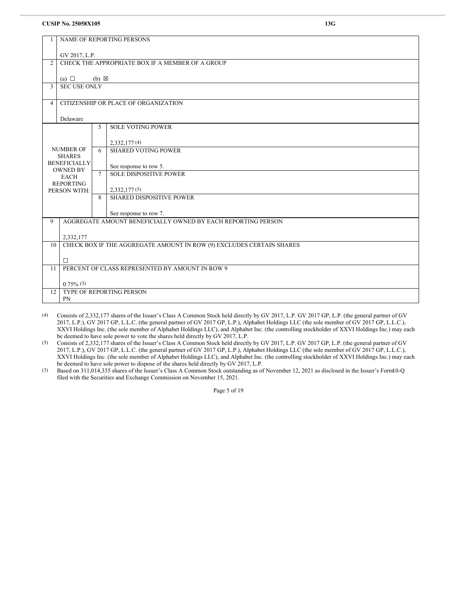|                | <b>NAME OF REPORTING PERSONS</b>                                     |                 |                                                              |  |  |
|----------------|----------------------------------------------------------------------|-----------------|--------------------------------------------------------------|--|--|
|                | GV 2017, L.P.                                                        |                 |                                                              |  |  |
| $\overline{2}$ |                                                                      |                 | CHECK THE APPROPRIATE BOX IF A MEMBER OF A GROUP             |  |  |
|                | (a) $\Box$                                                           | $(b) \boxtimes$ |                                                              |  |  |
| 3              | <b>SEC USE ONLY</b>                                                  |                 |                                                              |  |  |
| $\overline{4}$ |                                                                      |                 | CITIZENSHIP OR PLACE OF ORGANIZATION                         |  |  |
|                | Delaware                                                             |                 |                                                              |  |  |
|                |                                                                      | 5               | <b>SOLE VOTING POWER</b>                                     |  |  |
|                |                                                                      |                 | 2,332,177(4)                                                 |  |  |
|                | <b>NUMBER OF</b><br><b>SHARES</b>                                    | 6               | <b>SHARED VOTING POWER</b>                                   |  |  |
|                | <b>BENEFICIALLY</b><br><b>OWNED BY</b>                               |                 | See response to row 5.                                       |  |  |
|                | <b>EACH</b><br><b>REPORTING</b>                                      | $\tau$          | <b>SOLE DISPOSITIVE POWER</b>                                |  |  |
|                | PERSON WITH:                                                         |                 | 2,332,177(5)                                                 |  |  |
|                |                                                                      | 8               | <b>SHARED DISPOSITIVE POWER</b>                              |  |  |
|                |                                                                      |                 | See response to row 7.                                       |  |  |
| $\mathbf{Q}$   |                                                                      |                 | AGGREGATE AMOUNT BENEFICIALLY OWNED BY EACH REPORTING PERSON |  |  |
| 10             | 2,332,177                                                            |                 |                                                              |  |  |
|                | CHECK BOX IF THE AGGREGATE AMOUNT IN ROW (9) EXCLUDES CERTAIN SHARES |                 |                                                              |  |  |
| 11             | □<br>PERCENT OF CLASS REPRESENTED BY AMOUNT IN ROW 9                 |                 |                                                              |  |  |
|                |                                                                      |                 |                                                              |  |  |
| 12             | $0.75\%$ (3)                                                         |                 |                                                              |  |  |
|                | <b>TYPE OF REPORTING PERSON</b><br><b>PN</b>                         |                 |                                                              |  |  |
|                |                                                                      |                 |                                                              |  |  |

(4) Consists of 2,332,177 shares of the Issuer's Class A Common Stock held directly by GV 2017, L.P. GV 2017 GP, L.P. (the general partner of GV 2017, L.P.), GV 2017 GP, L.L.C. (the general partner of GV 2017 GP, L.P.), Alphabet Holdings LLC (the sole member of GV 2017 GP, L.L.C.), XXVI Holdings Inc. (the sole member of Alphabet Holdings LLC), and Alphabet Inc. (the controlling stockholder of XXVI Holdings Inc.) may each be deemed to have sole power to vote the shares held directly by GV 2017, L.P.

(5) Consists of 2,332,177 shares of the Issuer's Class A Common Stock held directly by GV 2017, L.P. GV 2017 GP, L.P. (the general partner of GV 2017, L.P.), GV 2017 GP, L.L.C. (the general partner of GV 2017 GP, L.P.), Alphabet Holdings LLC (the sole member of GV 2017 GP, L.L.C.), XXVI Holdings Inc. (the sole member of Alphabet Holdings LLC), and Alphabet Inc. (the controlling stockholder of XXVI Holdings Inc.) may each be deemed to have sole power to dispose of the shares held directly by GV 2017, L.P.

(3) Based on 311,014,335 shares of the Issuer's Class A Common Stock outstanding as of November 12, 2021 as disclosed in the Issuer's Form10-Q filed with the Securities and Exchange Commission on November 15, 2021.

Page 5 of 19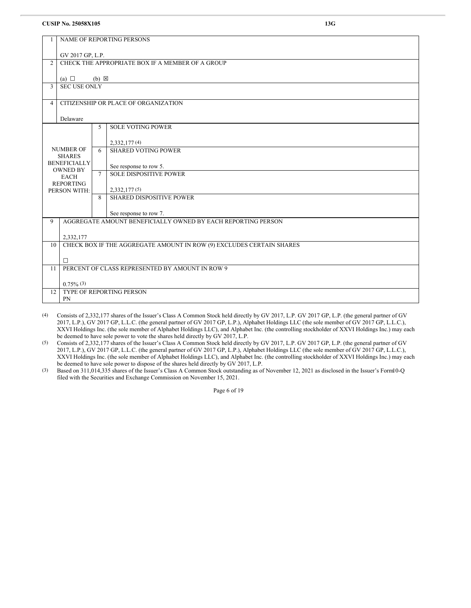|                | NAME OF REPORTING PERSONS                                 |                 |                                                                      |  |  |  |
|----------------|-----------------------------------------------------------|-----------------|----------------------------------------------------------------------|--|--|--|
|                | GV 2017 GP, L.P.                                          |                 |                                                                      |  |  |  |
| $\overline{2}$ |                                                           |                 | CHECK THE APPROPRIATE BOX IF A MEMBER OF A GROUP                     |  |  |  |
|                | (a) $\Box$                                                | $(b) \boxtimes$ |                                                                      |  |  |  |
| 3              | SEC USE ONLY                                              |                 |                                                                      |  |  |  |
| $\overline{4}$ |                                                           |                 | CITIZENSHIP OR PLACE OF ORGANIZATION                                 |  |  |  |
|                | Delaware                                                  |                 |                                                                      |  |  |  |
|                |                                                           | 5               | <b>SOLE VOTING POWER</b>                                             |  |  |  |
|                |                                                           |                 | 2,332,177(4)                                                         |  |  |  |
|                | <b>NUMBER OF</b><br><b>SHARES</b>                         | 6               | <b>SHARED VOTING POWER</b>                                           |  |  |  |
|                | <b>BENEFICIALLY</b><br><b>OWNED BY</b>                    |                 | See response to row 5.                                               |  |  |  |
|                | <b>EACH</b><br><b>REPORTING</b>                           | $7\phantom{.0}$ | <b>SOLE DISPOSITIVE POWER</b>                                        |  |  |  |
| PERSON WITH:   |                                                           |                 | 2,332,177(5)                                                         |  |  |  |
|                |                                                           | 8               | <b>SHARED DISPOSITIVE POWER</b>                                      |  |  |  |
|                |                                                           |                 | See response to row 7.                                               |  |  |  |
| $\overline{9}$ |                                                           |                 | AGGREGATE AMOUNT BENEFICIALLY OWNED BY EACH REPORTING PERSON         |  |  |  |
| 10             | 2,332,177                                                 |                 | CHECK BOX IF THE AGGREGATE AMOUNT IN ROW (9) EXCLUDES CERTAIN SHARES |  |  |  |
|                |                                                           |                 |                                                                      |  |  |  |
| 11             | $\Box$<br>PERCENT OF CLASS REPRESENTED BY AMOUNT IN ROW 9 |                 |                                                                      |  |  |  |
|                |                                                           |                 |                                                                      |  |  |  |
| 12             | $0.75\%$ (3)                                              |                 | <b>TYPE OF REPORTING PERSON</b>                                      |  |  |  |
|                | PN                                                        |                 |                                                                      |  |  |  |
|                |                                                           |                 |                                                                      |  |  |  |

(4) Consists of 2,332,177 shares of the Issuer's Class A Common Stock held directly by GV 2017, L.P. GV 2017 GP, L.P. (the general partner of GV 2017, L.P.), GV 2017 GP, L.L.C. (the general partner of GV 2017 GP, L.P.), Alphabet Holdings LLC (the sole member of GV 2017 GP, L.L.C.), XXVI Holdings Inc. (the sole member of Alphabet Holdings LLC), and Alphabet Inc. (the controlling stockholder of XXVI Holdings Inc.) may each be deemed to have sole power to vote the shares held directly by GV 2017, L.P.

(5) Consists of 2,332,177 shares of the Issuer's Class A Common Stock held directly by GV 2017, L.P. GV 2017 GP, L.P. (the general partner of GV 2017, L.P.), GV 2017 GP, L.L.C. (the general partner of GV 2017 GP, L.P.), Alphabet Holdings LLC (the sole member of GV 2017 GP, L.L.C.), XXVI Holdings Inc. (the sole member of Alphabet Holdings LLC), and Alphabet Inc. (the controlling stockholder of XXVI Holdings Inc.) may each be deemed to have sole power to dispose of the shares held directly by GV 2017, L.P.

(3) Based on 311,014,335 shares of the Issuer's Class A Common Stock outstanding as of November 12, 2021 as disclosed in the Issuer's Form10-Q filed with the Securities and Exchange Commission on November 15, 2021.

Page 6 of 19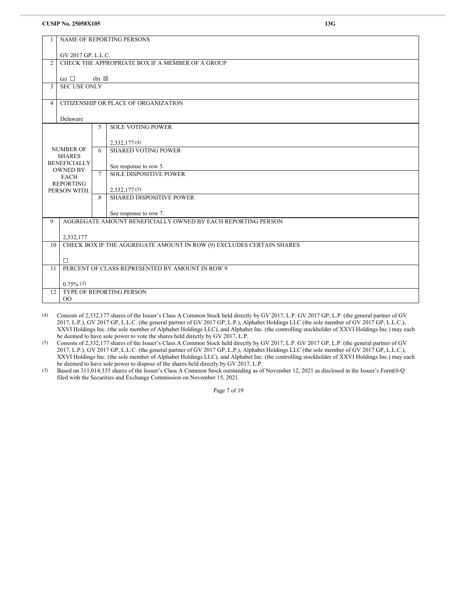| 1              | <b>NAME OF REPORTING PERSONS</b>                                     |                 |                                                              |  |  |
|----------------|----------------------------------------------------------------------|-----------------|--------------------------------------------------------------|--|--|
|                | GV 2017 GP, L.L.C.                                                   |                 |                                                              |  |  |
| $\overline{2}$ |                                                                      |                 | CHECK THE APPROPRIATE BOX IF A MEMBER OF A GROUP             |  |  |
|                | (a) $\Box$                                                           | $(b) \boxtimes$ |                                                              |  |  |
| 3              | <b>SEC USE ONLY</b>                                                  |                 |                                                              |  |  |
| 4              |                                                                      |                 | CITIZENSHIP OR PLACE OF ORGANIZATION                         |  |  |
|                | Delaware                                                             |                 |                                                              |  |  |
|                |                                                                      | 5               | <b>SOLE VOTING POWER</b>                                     |  |  |
|                |                                                                      |                 | 2,332,177(4)                                                 |  |  |
|                | <b>NUMBER OF</b><br><b>SHARES</b>                                    | 6               | <b>SHARED VOTING POWER</b>                                   |  |  |
|                | <b>BENEFICIALLY</b><br><b>OWNED BY</b>                               |                 | See response to row 5.                                       |  |  |
|                | <b>EACH</b>                                                          | $\tau$          | <b>SOLE DISPOSITIVE POWER</b>                                |  |  |
|                | <b>REPORTING</b><br>PERSON WITH:                                     |                 | 2,332,177(5)                                                 |  |  |
|                |                                                                      | 8               | <b>SHARED DISPOSITIVE POWER</b>                              |  |  |
|                |                                                                      |                 | See response to row 7.                                       |  |  |
| 9              |                                                                      |                 | AGGREGATE AMOUNT BENEFICIALLY OWNED BY EACH REPORTING PERSON |  |  |
|                | 2,332,177                                                            |                 |                                                              |  |  |
| 10             | CHECK BOX IF THE AGGREGATE AMOUNT IN ROW (9) EXCLUDES CERTAIN SHARES |                 |                                                              |  |  |
|                | $\Box$                                                               |                 |                                                              |  |  |
| 11             |                                                                      |                 | PERCENT OF CLASS REPRESENTED BY AMOUNT IN ROW 9              |  |  |
|                | $0.75\%$ (3)                                                         |                 |                                                              |  |  |
| 12             | TYPE OF REPORTING PERSON<br>00                                       |                 |                                                              |  |  |
|                |                                                                      |                 |                                                              |  |  |

(4) Consists of 2,332,177 shares of the Issuer's Class A Common Stock held directly by GV 2017, L.P. GV 2017 GP, L.P. (the general partner of GV 2017, L.P.), GV 2017 GP, L.L.C. (the general partner of GV 2017 GP, L.P.), Alphabet Holdings LLC (the sole member of GV 2017 GP, L.L.C.), XXVI Holdings Inc. (the sole member of Alphabet Holdings LLC), and Alphabet Inc. (the controlling stockholder of XXVI Holdings Inc.) may each be deemed to have sole power to vote the shares held directly by GV 2017, L.P.

(5) Consists of 2,332,177 shares of the Issuer's Class A Common Stock held directly by GV 2017, L.P. GV 2017 GP, L.P. (the general partner of GV 2017, L.P.), GV 2017 GP, L.L.C. (the general partner of GV 2017 GP, L.P.), Alphabet Holdings LLC (the sole member of GV 2017 GP, L.L.C.), XXVI Holdings Inc. (the sole member of Alphabet Holdings LLC), and Alphabet Inc. (the controlling stockholder of XXVI Holdings Inc.) may each be deemed to have sole power to dispose of the shares held directly by GV 2017, L.P.

(3) Based on 311,014,335 shares of the Issuer's Class A Common Stock outstanding as of November 12, 2021 as disclosed in the Issuer's Form10-Q filed with the Securities and Exchange Commission on November 15, 2021.

Page 7 of 19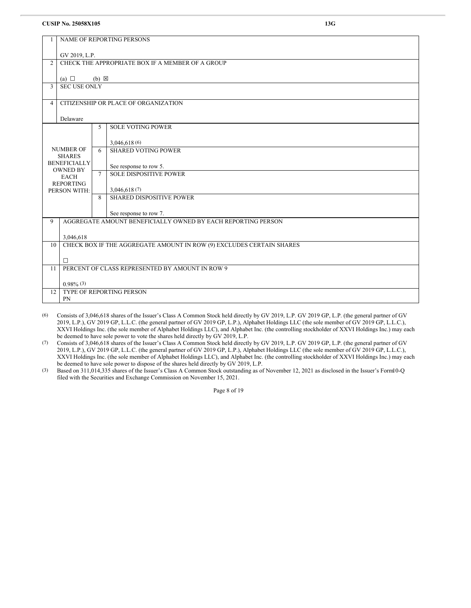|                        | NAME OF REPORTING PERSONS              |                 |                                                                      |  |  |
|------------------------|----------------------------------------|-----------------|----------------------------------------------------------------------|--|--|
|                        |                                        |                 |                                                                      |  |  |
|                        | GV 2019, L.P.                          |                 |                                                                      |  |  |
| $\overline{2}$         |                                        |                 | CHECK THE APPROPRIATE BOX IF A MEMBER OF A GROUP                     |  |  |
|                        | (a) $\Box$                             | $(b) \boxtimes$ |                                                                      |  |  |
| 3                      | <b>SEC USE ONLY</b>                    |                 |                                                                      |  |  |
| 4                      |                                        |                 | CITIZENSHIP OR PLACE OF ORGANIZATION                                 |  |  |
|                        |                                        |                 |                                                                      |  |  |
|                        | Delaware                               |                 |                                                                      |  |  |
|                        |                                        | 5               | <b>SOLE VOTING POWER</b>                                             |  |  |
|                        |                                        |                 |                                                                      |  |  |
|                        | <b>NUMBER OF</b>                       | 6               | 3,046,618(6)<br><b>SHARED VOTING POWER</b>                           |  |  |
|                        | <b>SHARES</b>                          |                 |                                                                      |  |  |
|                        | <b>BENEFICIALLY</b><br><b>OWNED BY</b> |                 | See response to row 5.                                               |  |  |
|                        | <b>EACH</b>                            | $\tau$          | <b>SOLE DISPOSITIVE POWER</b>                                        |  |  |
|                        | <b>REPORTING</b><br>PERSON WITH:       |                 | 3,046,618(7)                                                         |  |  |
|                        |                                        | 8               | SHARED DISPOSITIVE POWER                                             |  |  |
| See response to row 7. |                                        |                 |                                                                      |  |  |
| $\mathbf Q$            |                                        |                 | AGGREGATE AMOUNT BENEFICIALLY OWNED BY EACH REPORTING PERSON         |  |  |
|                        | 3,046,618                              |                 |                                                                      |  |  |
| 10 <sup>1</sup>        |                                        |                 | CHECK BOX IF THE AGGREGATE AMOUNT IN ROW (9) EXCLUDES CERTAIN SHARES |  |  |
|                        |                                        |                 |                                                                      |  |  |
|                        | $\Box$                                 |                 |                                                                      |  |  |
| 11                     |                                        |                 | PERCENT OF CLASS REPRESENTED BY AMOUNT IN ROW 9                      |  |  |
|                        | $0.98\%$ (3)                           |                 |                                                                      |  |  |
| 12                     |                                        |                 | <b>TYPE OF REPORTING PERSON</b>                                      |  |  |
|                        | PN                                     |                 |                                                                      |  |  |
|                        |                                        |                 |                                                                      |  |  |

(6) Consists of 3,046,618 shares of the Issuer's Class A Common Stock held directly by GV 2019, L.P. GV 2019 GP, L.P. (the general partner of GV 2019, L.P.), GV 2019 GP, L.L.C. (the general partner of GV 2019 GP, L.P.), Alphabet Holdings LLC (the sole member of GV 2019 GP, L.L.C.), XXVI Holdings Inc. (the sole member of Alphabet Holdings LLC), and Alphabet Inc. (the controlling stockholder of XXVI Holdings Inc.) may each be deemed to have sole power to vote the shares held directly by GV 2019, L.P.

(7) Consists of 3,046,618 shares of the Issuer's Class A Common Stock held directly by GV 2019, L.P. GV 2019 GP, L.P. (the general partner of GV 2019, L.P.), GV 2019 GP, L.L.C. (the general partner of GV 2019 GP, L.P.), Alphabet Holdings LLC (the sole member of GV 2019 GP, L.L.C.), XXVI Holdings Inc. (the sole member of Alphabet Holdings LLC), and Alphabet Inc. (the controlling stockholder of XXVI Holdings Inc.) may each be deemed to have sole power to dispose of the shares held directly by GV 2019, L.P.

(3) Based on 311,014,335 shares of the Issuer's Class A Common Stock outstanding as of November 12, 2021 as disclosed in the Issuer's Form10-Q filed with the Securities and Exchange Commission on November 15, 2021.

Page 8 of 19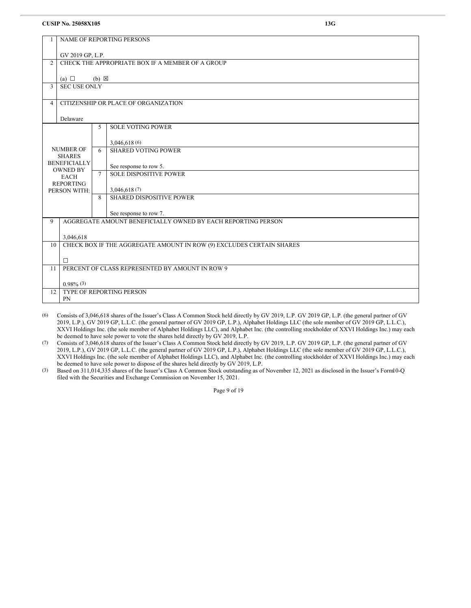| $\overline{1}$ | <b>NAME OF REPORTING PERSONS</b>                                           |                 |                                                              |  |  |  |
|----------------|----------------------------------------------------------------------------|-----------------|--------------------------------------------------------------|--|--|--|
|                | GV 2019 GP, L.P.                                                           |                 |                                                              |  |  |  |
| $\overline{2}$ |                                                                            |                 | CHECK THE APPROPRIATE BOX IF A MEMBER OF A GROUP             |  |  |  |
|                | (a) $\Box$                                                                 | $(b) \boxtimes$ |                                                              |  |  |  |
| 3              | <b>SEC USE ONLY</b>                                                        |                 |                                                              |  |  |  |
| $\overline{4}$ |                                                                            |                 | CITIZENSHIP OR PLACE OF ORGANIZATION                         |  |  |  |
|                | Delaware                                                                   |                 |                                                              |  |  |  |
|                |                                                                            | 5               | <b>SOLE VOTING POWER</b>                                     |  |  |  |
|                |                                                                            |                 | 3,046,618(6)                                                 |  |  |  |
|                | <b>NUMBER OF</b><br><b>SHARES</b>                                          | 6               | <b>SHARED VOTING POWER</b>                                   |  |  |  |
|                | <b>BENEFICIALLY</b><br><b>OWNED BY</b>                                     |                 | See response to row 5.                                       |  |  |  |
|                | <b>EACH</b><br><b>REPORTING</b>                                            | $\tau$          | <b>SOLE DISPOSITIVE POWER</b>                                |  |  |  |
|                | PERSON WITH:                                                               |                 | 3,046,618(7)                                                 |  |  |  |
|                |                                                                            | 8               | <b>SHARED DISPOSITIVE POWER</b>                              |  |  |  |
|                |                                                                            |                 | See response to row 7.                                       |  |  |  |
| $\overline{9}$ |                                                                            |                 | AGGREGATE AMOUNT BENEFICIALLY OWNED BY EACH REPORTING PERSON |  |  |  |
| 3,046,618      |                                                                            |                 |                                                              |  |  |  |
|                | CHECK BOX IF THE AGGREGATE AMOUNT IN ROW (9) EXCLUDES CERTAIN SHARES<br>10 |                 |                                                              |  |  |  |
| 11             | П<br>PERCENT OF CLASS REPRESENTED BY AMOUNT IN ROW 9                       |                 |                                                              |  |  |  |
|                |                                                                            |                 |                                                              |  |  |  |
| 12             | $0.98\%$ (3)                                                               |                 | <b>TYPE OF REPORTING PERSON</b>                              |  |  |  |
|                | PN                                                                         |                 |                                                              |  |  |  |
|                |                                                                            |                 |                                                              |  |  |  |

(6) Consists of 3,046,618 shares of the Issuer's Class A Common Stock held directly by GV 2019, L.P. GV 2019 GP, L.P. (the general partner of GV 2019, L.P.), GV 2019 GP, L.L.C. (the general partner of GV 2019 GP, L.P.), Alphabet Holdings LLC (the sole member of GV 2019 GP, L.L.C.), XXVI Holdings Inc. (the sole member of Alphabet Holdings LLC), and Alphabet Inc. (the controlling stockholder of XXVI Holdings Inc.) may each be deemed to have sole power to vote the shares held directly by GV 2019, L.P.

(7) Consists of 3,046,618 shares of the Issuer's Class A Common Stock held directly by GV 2019, L.P. GV 2019 GP, L.P. (the general partner of GV 2019, L.P.), GV 2019 GP, L.L.C. (the general partner of GV 2019 GP, L.P.), Alphabet Holdings LLC (the sole member of GV 2019 GP, L.L.C.), XXVI Holdings Inc. (the sole member of Alphabet Holdings LLC), and Alphabet Inc. (the controlling stockholder of XXVI Holdings Inc.) may each be deemed to have sole power to dispose of the shares held directly by GV 2019, L.P.

(3) Based on 311,014,335 shares of the Issuer's Class A Common Stock outstanding as of November 12, 2021 as disclosed in the Issuer's Form10-Q filed with the Securities and Exchange Commission on November 15, 2021.

Page 9 of 19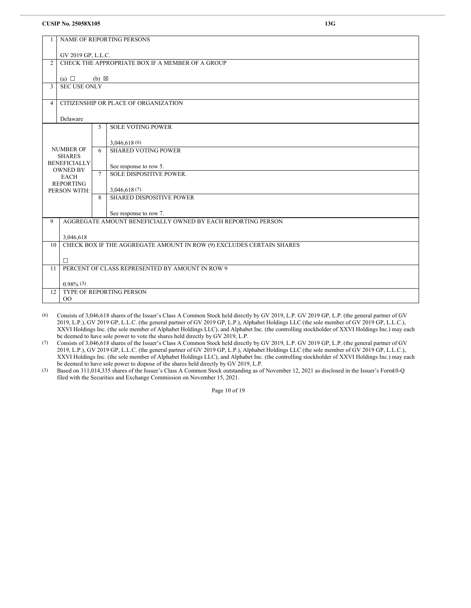|                |                                        |                 | NAME OF REPORTING PERSONS                                            |  |  |
|----------------|----------------------------------------|-----------------|----------------------------------------------------------------------|--|--|
|                | GV 2019 GP, L.L.C.                     |                 |                                                                      |  |  |
| $\overline{c}$ |                                        |                 | CHECK THE APPROPRIATE BOX IF A MEMBER OF A GROUP                     |  |  |
|                | (a) $\Box$                             | $(b) \boxtimes$ |                                                                      |  |  |
| 3              | <b>SEC USE ONLY</b>                    |                 |                                                                      |  |  |
| 4              |                                        |                 | CITIZENSHIP OR PLACE OF ORGANIZATION                                 |  |  |
|                | Delaware                               |                 |                                                                      |  |  |
|                |                                        | 5               | <b>SOLE VOTING POWER</b>                                             |  |  |
|                |                                        |                 | 3,046,618(6)                                                         |  |  |
|                | <b>NUMBER OF</b><br><b>SHARES</b>      | 6               | <b>SHARED VOTING POWER</b>                                           |  |  |
|                | <b>BENEFICIALLY</b><br><b>OWNED BY</b> | $\tau$          | See response to row 5.                                               |  |  |
|                | <b>EACH</b><br><b>REPORTING</b>        |                 | SOLE DISPOSITIVE POWER.                                              |  |  |
| PERSON WITH:   |                                        |                 | 3,046,618(7)                                                         |  |  |
|                |                                        | 8               | <b>SHARED DISPOSITIVE POWER</b>                                      |  |  |
|                |                                        |                 | See response to row 7.                                               |  |  |
| 9              |                                        |                 | AGGREGATE AMOUNT BENEFICIALLY OWNED BY EACH REPORTING PERSON         |  |  |
|                | 3,046,618                              |                 |                                                                      |  |  |
| 10             |                                        |                 | CHECK BOX IF THE AGGREGATE AMOUNT IN ROW (9) EXCLUDES CERTAIN SHARES |  |  |
|                | $\Box$                                 |                 |                                                                      |  |  |
| 11             |                                        |                 | PERCENT OF CLASS REPRESENTED BY AMOUNT IN ROW 9                      |  |  |
|                | $0.98\%$ (3)                           |                 |                                                                      |  |  |
| 12             | 00                                     |                 | TYPE OF REPORTING PERSON                                             |  |  |
|                |                                        |                 |                                                                      |  |  |

(6) Consists of 3,046,618 shares of the Issuer's Class A Common Stock held directly by GV 2019, L.P. GV 2019 GP, L.P. (the general partner of GV 2019, L.P.), GV 2019 GP, L.L.C. (the general partner of GV 2019 GP, L.P.), Alphabet Holdings LLC (the sole member of GV 2019 GP, L.L.C.), XXVI Holdings Inc. (the sole member of Alphabet Holdings LLC), and Alphabet Inc. (the controlling stockholder of XXVI Holdings Inc.) may each be deemed to have sole power to vote the shares held directly by GV 2019, L.P.

(7) Consists of 3,046,618 shares of the Issuer's Class A Common Stock held directly by GV 2019, L.P. GV 2019 GP, L.P. (the general partner of GV 2019, L.P.), GV 2019 GP, L.L.C. (the general partner of GV 2019 GP, L.P.), Alphabet Holdings LLC (the sole member of GV 2019 GP, L.L.C.), XXVI Holdings Inc. (the sole member of Alphabet Holdings LLC), and Alphabet Inc. (the controlling stockholder of XXVI Holdings Inc.) may each be deemed to have sole power to dispose of the shares held directly by GV 2019, L.P.

(3) Based on 311,014,335 shares of the Issuer's Class A Common Stock outstanding as of November 12, 2021 as disclosed in the Issuer's Form10-Q filed with the Securities and Exchange Commission on November 15, 2021.

Page 10 of 19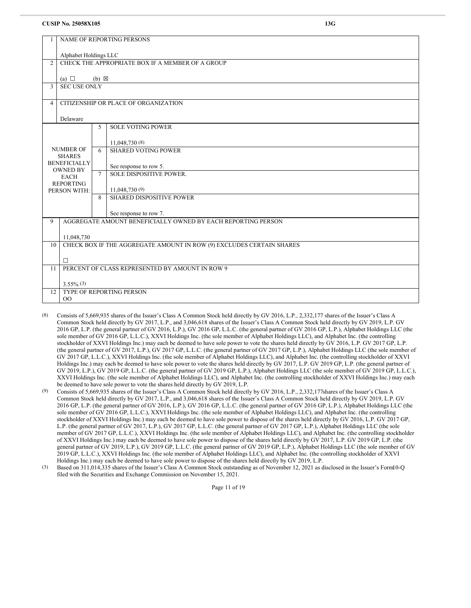|                                | NAME OF REPORTING PERSONS                       |                       |                                                                      |  |  |  |
|--------------------------------|-------------------------------------------------|-----------------------|----------------------------------------------------------------------|--|--|--|
|                                |                                                 |                       |                                                                      |  |  |  |
|                                |                                                 | Alphabet Holdings LLC |                                                                      |  |  |  |
| $\overline{2}$                 |                                                 |                       | CHECK THE APPROPRIATE BOX IF A MEMBER OF A GROUP                     |  |  |  |
|                                |                                                 |                       |                                                                      |  |  |  |
|                                | (a) $\Box$                                      | $(b) \boxtimes$       |                                                                      |  |  |  |
| 3                              | <b>SEC USE ONLY</b>                             |                       |                                                                      |  |  |  |
|                                |                                                 |                       |                                                                      |  |  |  |
| $\overline{\mathcal{A}}$       |                                                 |                       | CITIZENSHIP OR PLACE OF ORGANIZATION                                 |  |  |  |
|                                |                                                 |                       |                                                                      |  |  |  |
|                                | Delaware                                        |                       |                                                                      |  |  |  |
|                                |                                                 | 5                     | <b>SOLE VOTING POWER</b>                                             |  |  |  |
|                                |                                                 |                       |                                                                      |  |  |  |
|                                |                                                 |                       | 11,048,730 (8)                                                       |  |  |  |
|                                | <b>NUMBER OF</b>                                | 6                     | <b>SHARED VOTING POWER</b>                                           |  |  |  |
|                                | <b>SHARES</b>                                   |                       |                                                                      |  |  |  |
|                                | <b>BENEFICIALLY</b>                             |                       | See response to row 5.                                               |  |  |  |
| <b>OWNED BY</b><br><b>EACH</b> |                                                 | $\tau$                | SOLE DISPOSITIVE POWER.                                              |  |  |  |
|                                | <b>REPORTING</b>                                |                       |                                                                      |  |  |  |
|                                | PERSON WITH:                                    |                       | 11,048,730 (9)                                                       |  |  |  |
|                                |                                                 | 8                     | <b>SHARED DISPOSITIVE POWER</b>                                      |  |  |  |
|                                |                                                 |                       |                                                                      |  |  |  |
|                                |                                                 |                       | See response to row 7.                                               |  |  |  |
| $\mathbf Q$                    |                                                 |                       | AGGREGATE AMOUNT BENEFICIALLY OWNED BY EACH REPORTING PERSON         |  |  |  |
|                                |                                                 |                       |                                                                      |  |  |  |
|                                | 11,048,730                                      |                       |                                                                      |  |  |  |
| 10                             |                                                 |                       | CHECK BOX IF THE AGGREGATE AMOUNT IN ROW (9) EXCLUDES CERTAIN SHARES |  |  |  |
|                                |                                                 |                       |                                                                      |  |  |  |
|                                | $\Box$                                          |                       |                                                                      |  |  |  |
| 11                             | PERCENT OF CLASS REPRESENTED BY AMOUNT IN ROW 9 |                       |                                                                      |  |  |  |
|                                |                                                 |                       |                                                                      |  |  |  |
|                                | $3.55\%$ (3)                                    |                       |                                                                      |  |  |  |
| 12                             |                                                 |                       | TYPE OF REPORTING PERSON                                             |  |  |  |
|                                | 00                                              |                       |                                                                      |  |  |  |
|                                |                                                 |                       |                                                                      |  |  |  |

- (8) Consists of 5,669,935 shares of the Issuer's Class A Common Stock held directly by GV 2016, L.P., 2,332,177 shares of the Issuer's Class A Common Stock held directly by GV 2017, L.P., and 3,046,618 shares of the Issuer's Class A Common Stock held directly by GV 2019, L.P. GV 2016 GP, L.P. (the general partner of GV 2016, L.P.), GV 2016 GP, L.L.C. (the general partner of GV 2016 GP, L.P.), Alphabet Holdings LLC (the sole member of GV 2016 GP, L.L.C.), XXVI Holdings Inc. (the sole member of Alphabet Holdings LLC), and Alphabet Inc. (the controlling stockholder of XXVI Holdings Inc.) may each be deemed to have sole power to vote the shares held directly by GV 2016, L.P. GV 2017 GP, L.P. (the general partner of GV 2017, L.P.), GV 2017 GP, L.L.C. (the general partner of GV 2017 GP, L.P.), Alphabet Holdings LLC (the sole member of GV 2017 GP, L.L.C.), XXVI Holdings Inc. (the sole member of Alphabet Holdings LLC), and Alphabet Inc. (the controlling stockholder of XXVI Holdings Inc.) may each be deemed to have sole power to vote the shares held directly by GV 2017, L.P. GV 2019 GP, L.P. (the general partner of GV 2019, L.P.), GV 2019 GP, L.L.C. (the general partner of GV 2019 GP, L.P.), Alphabet Holdings LLC (the sole member of GV 2019 GP, L.L.C.), XXVI Holdings Inc. (the sole member of Alphabet Holdings LLC), and Alphabet Inc. (the controlling stockholder of XXVI Holdings Inc.) may each be deemed to have sole power to vote the shares held directly by GV 2019, L.P.
- (9) Consists of 5,669,935 shares of the Issuer's Class A Common Stock held directly by GV 2016, L.P., 2,332,177shares of the Issuer's Class A Common Stock held directly by GV 2017, L.P., and 3,046,618 shares of the Issuer's Class A Common Stock held directly by GV 2019, L.P. GV 2016 GP, L.P. (the general partner of GV 2016, L.P.), GV 2016 GP, L.L.C. (the general partner of GV 2016 GP, L.P.), Alphabet Holdings LLC (the sole member of GV 2016 GP, L.L.C.), XXVI Holdings Inc. (the sole member of Alphabet Holdings LLC), and Alphabet Inc. (the controlling stockholder of XXVI Holdings Inc.) may each be deemed to have sole power to dispose of the shares held directly by GV 2016, L.P. GV 2017 GP, L.P. (the general partner of GV 2017, L.P.), GV 2017 GP, L.L.C. (the general partner of GV 2017 GP, L.P.), Alphabet Holdings LLC (the sole member of GV 2017 GP, L.L.C.), XXVI Holdings Inc. (the sole member of Alphabet Holdings LLC), and Alphabet Inc. (the controlling stockholder of XXVI Holdings Inc.) may each be deemed to have sole power to dispose of the shares held directly by GV 2017, L.P. GV 2019 GP, L.P. (the general partner of GV 2019, L.P.), GV 2019 GP, L.L.C. (the general partner of GV 2019 GP, L.P.), Alphabet Holdings LLC (the sole member of GV 2019 GP, L.L.C.), XXVI Holdings Inc. (the sole member of Alphabet Holdings LLC), and Alphabet Inc. (the controlling stockholder of XXVI Holdings Inc.) may each be deemed to have sole power to dispose of the shares held directly by GV 2019, L.P.
- (3) Based on 311,014,335 shares of the Issuer's Class A Common Stock outstanding as of November 12, 2021 as disclosed in the Issuer's Form10-Q filed with the Securities and Exchange Commission on November 15, 2021.

Page 11 of 19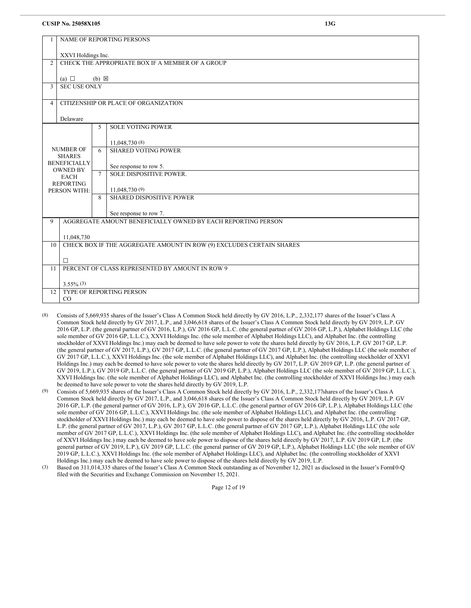|                          | <b>NAME OF REPORTING PERSONS</b>                             |                 |                                                                      |  |  |
|--------------------------|--------------------------------------------------------------|-----------------|----------------------------------------------------------------------|--|--|
|                          | XXVI Holdings Inc.                                           |                 |                                                                      |  |  |
| $\overline{2}$           |                                                              |                 | CHECK THE APPROPRIATE BOX IF A MEMBER OF A GROUP                     |  |  |
|                          | (a) $\Box$                                                   | $(b) \boxtimes$ |                                                                      |  |  |
| 3                        | <b>SEC USE ONLY</b>                                          |                 |                                                                      |  |  |
| $\overline{\mathcal{A}}$ |                                                              |                 | CITIZENSHIP OR PLACE OF ORGANIZATION                                 |  |  |
|                          | Delaware                                                     |                 |                                                                      |  |  |
|                          |                                                              | 5               | <b>SOLE VOTING POWER</b>                                             |  |  |
|                          |                                                              |                 | 11,048,730 (8)                                                       |  |  |
|                          | <b>NUMBER OF</b><br><b>SHARES</b>                            | 6               | <b>SHARED VOTING POWER</b>                                           |  |  |
|                          | <b>BENEFICIALLY</b><br><b>OWNED BY</b>                       |                 | See response to row 5.                                               |  |  |
|                          | <b>EACH</b>                                                  | $\tau$          | SOLE DISPOSITIVE POWER.                                              |  |  |
|                          | <b>REPORTING</b><br>PERSON WITH:                             |                 | 11,048,730 (9)                                                       |  |  |
|                          |                                                              | 8               | <b>SHARED DISPOSITIVE POWER</b>                                      |  |  |
|                          |                                                              |                 | See response to row 7.                                               |  |  |
| 9                        | AGGREGATE AMOUNT BENEFICIALLY OWNED BY EACH REPORTING PERSON |                 |                                                                      |  |  |
|                          | 11,048,730                                                   |                 |                                                                      |  |  |
| 10 <sup>10</sup>         |                                                              |                 | CHECK BOX IF THE AGGREGATE AMOUNT IN ROW (9) EXCLUDES CERTAIN SHARES |  |  |
|                          | $\Box$                                                       |                 |                                                                      |  |  |
| 11                       |                                                              |                 | PERCENT OF CLASS REPRESENTED BY AMOUNT IN ROW 9                      |  |  |
|                          | $3.55\%$ (3)                                                 |                 |                                                                      |  |  |
| 12                       | <b>TYPE OF REPORTING PERSON</b><br>CO                        |                 |                                                                      |  |  |
|                          |                                                              |                 |                                                                      |  |  |

- (8) Consists of 5,669,935 shares of the Issuer's Class A Common Stock held directly by GV 2016, L.P., 2,332,177 shares of the Issuer's Class A Common Stock held directly by GV 2017, L.P., and 3,046,618 shares of the Issuer's Class A Common Stock held directly by GV 2019, L.P. GV 2016 GP, L.P. (the general partner of GV 2016, L.P.), GV 2016 GP, L.L.C. (the general partner of GV 2016 GP, L.P.), Alphabet Holdings LLC (the sole member of GV 2016 GP, L.L.C.), XXVI Holdings Inc. (the sole member of Alphabet Holdings LLC), and Alphabet Inc. (the controlling stockholder of XXVI Holdings Inc.) may each be deemed to have sole power to vote the shares held directly by GV 2016, L.P. GV 2017 GP, L.P. (the general partner of GV 2017, L.P.), GV 2017 GP, L.L.C. (the general partner of GV 2017 GP, L.P.), Alphabet Holdings LLC (the sole member of GV 2017 GP, L.L.C.), XXVI Holdings Inc. (the sole member of Alphabet Holdings LLC), and Alphabet Inc. (the controlling stockholder of XXVI Holdings Inc.) may each be deemed to have sole power to vote the shares held directly by GV 2017, L.P. GV 2019 GP, L.P. (the general partner of GV 2019, L.P.), GV 2019 GP, L.L.C. (the general partner of GV 2019 GP, L.P.), Alphabet Holdings LLC (the sole member of GV 2019 GP, L.L.C.), XXVI Holdings Inc. (the sole member of Alphabet Holdings LLC), and Alphabet Inc. (the controlling stockholder of XXVI Holdings Inc.) may each be deemed to have sole power to vote the shares held directly by GV 2019, L.P.
- (9) Consists of 5,669,935 shares of the Issuer's Class A Common Stock held directly by GV 2016, L.P., 2,332,177shares of the Issuer's Class A Common Stock held directly by GV 2017, L.P., and 3,046,618 shares of the Issuer's Class A Common Stock held directly by GV 2019, L.P. GV 2016 GP, L.P. (the general partner of GV 2016, L.P.), GV 2016 GP, L.L.C. (the general partner of GV 2016 GP, L.P.), Alphabet Holdings LLC (the sole member of GV 2016 GP, L.L.C.), XXVI Holdings Inc. (the sole member of Alphabet Holdings LLC), and Alphabet Inc. (the controlling stockholder of XXVI Holdings Inc.) may each be deemed to have sole power to dispose of the shares held directly by GV 2016, L.P. GV 2017 GP, L.P. (the general partner of GV 2017, L.P.), GV 2017 GP, L.L.C. (the general partner of GV 2017 GP, L.P.), Alphabet Holdings LLC (the sole member of GV 2017 GP, L.L.C.), XXVI Holdings Inc. (the sole member of Alphabet Holdings LLC), and Alphabet Inc. (the controlling stockholder of XXVI Holdings Inc.) may each be deemed to have sole power to dispose of the shares held directly by GV 2017, L.P. GV 2019 GP, L.P. (the general partner of GV 2019, L.P.), GV 2019 GP, L.L.C. (the general partner of GV 2019 GP, L.P.), Alphabet Holdings LLC (the sole member of GV 2019 GP, L.L.C.), XXVI Holdings Inc. (the sole member of Alphabet Holdings LLC), and Alphabet Inc. (the controlling stockholder of XXVI Holdings Inc.) may each be deemed to have sole power to dispose of the shares held directly by GV 2019, L.P.
- (3) Based on 311,014,335 shares of the Issuer's Class A Common Stock outstanding as of November 12, 2021 as disclosed in the Issuer's Form10-Q filed with the Securities and Exchange Commission on November 15, 2021.

Page 12 of 19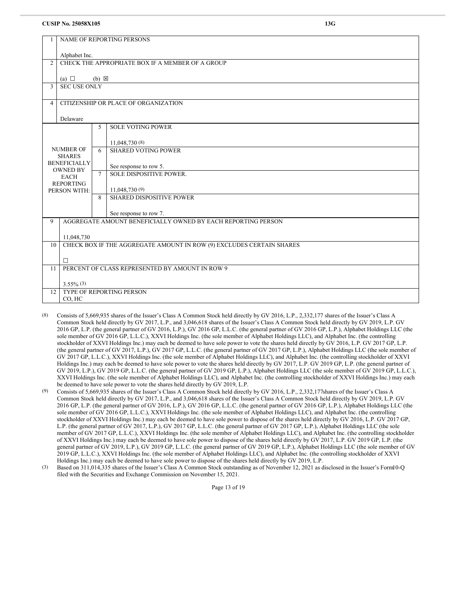|                                                                                                                                |                                                 |                 | <b>NAME OF REPORTING PERSONS</b>                                     |  |
|--------------------------------------------------------------------------------------------------------------------------------|-------------------------------------------------|-----------------|----------------------------------------------------------------------|--|
|                                                                                                                                | Alphabet Inc.                                   |                 |                                                                      |  |
| $\overline{2}$                                                                                                                 |                                                 |                 | CHECK THE APPROPRIATE BOX IF A MEMBER OF A GROUP                     |  |
|                                                                                                                                | (a) $\Box$                                      | $(b) \boxtimes$ |                                                                      |  |
| $\overline{\mathbf{3}}$                                                                                                        | <b>SEC USE ONLY</b>                             |                 |                                                                      |  |
| 4                                                                                                                              |                                                 |                 | CITIZENSHIP OR PLACE OF ORGANIZATION                                 |  |
|                                                                                                                                | Delaware                                        |                 |                                                                      |  |
|                                                                                                                                | <b>SOLE VOTING POWER</b><br>5                   |                 |                                                                      |  |
|                                                                                                                                |                                                 |                 | 11,048,730 (8)                                                       |  |
| <b>NUMBER OF</b><br><b>SHARES</b><br><b>BENEFICIALLY</b><br><b>OWNED BY</b><br><b>EACH</b><br><b>REPORTING</b><br>PERSON WITH: |                                                 | 6               | <b>SHARED VOTING POWER</b>                                           |  |
|                                                                                                                                |                                                 |                 | See response to row 5.                                               |  |
|                                                                                                                                |                                                 | $\tau$          | SOLE DISPOSITIVE POWER.                                              |  |
|                                                                                                                                |                                                 |                 | 11,048,730 (9)                                                       |  |
|                                                                                                                                |                                                 | 8               | <b>SHARED DISPOSITIVE POWER</b>                                      |  |
|                                                                                                                                |                                                 |                 | See response to row 7.                                               |  |
| 9                                                                                                                              |                                                 |                 | AGGREGATE AMOUNT BENEFICIALLY OWNED BY EACH REPORTING PERSON         |  |
|                                                                                                                                | 11,048,730                                      |                 |                                                                      |  |
| 10                                                                                                                             |                                                 |                 | CHECK BOX IF THE AGGREGATE AMOUNT IN ROW (9) EXCLUDES CERTAIN SHARES |  |
|                                                                                                                                | $\Box$                                          |                 |                                                                      |  |
| 11                                                                                                                             |                                                 |                 | PERCENT OF CLASS REPRESENTED BY AMOUNT IN ROW 9                      |  |
|                                                                                                                                | $3.55\%$ (3)                                    |                 |                                                                      |  |
|                                                                                                                                | <b>TYPE OF REPORTING PERSON</b><br>12<br>CO, HC |                 |                                                                      |  |
|                                                                                                                                |                                                 |                 |                                                                      |  |

- (8) Consists of 5,669,935 shares of the Issuer's Class A Common Stock held directly by GV 2016, L.P., 2,332,177 shares of the Issuer's Class A Common Stock held directly by GV 2017, L.P., and 3,046,618 shares of the Issuer's Class A Common Stock held directly by GV 2019, L.P. GV 2016 GP, L.P. (the general partner of GV 2016, L.P.), GV 2016 GP, L.L.C. (the general partner of GV 2016 GP, L.P.), Alphabet Holdings LLC (the sole member of GV 2016 GP, L.L.C.), XXVI Holdings Inc. (the sole member of Alphabet Holdings LLC), and Alphabet Inc. (the controlling stockholder of XXVI Holdings Inc.) may each be deemed to have sole power to vote the shares held directly by GV 2016, L.P. GV 2017 GP, L.P. (the general partner of GV 2017, L.P.), GV 2017 GP, L.L.C. (the general partner of GV 2017 GP, L.P.), Alphabet Holdings LLC (the sole member of GV 2017 GP, L.L.C.), XXVI Holdings Inc. (the sole member of Alphabet Holdings LLC), and Alphabet Inc. (the controlling stockholder of XXVI Holdings Inc.) may each be deemed to have sole power to vote the shares held directly by GV 2017, L.P. GV 2019 GP, L.P. (the general partner of GV 2019, L.P.), GV 2019 GP, L.L.C. (the general partner of GV 2019 GP, L.P.), Alphabet Holdings LLC (the sole member of GV 2019 GP, L.L.C.), XXVI Holdings Inc. (the sole member of Alphabet Holdings LLC), and Alphabet Inc. (the controlling stockholder of XXVI Holdings Inc.) may each be deemed to have sole power to vote the shares held directly by GV 2019, L.P.
- (9) Consists of 5,669,935 shares of the Issuer's Class A Common Stock held directly by GV 2016, L.P., 2,332,177shares of the Issuer's Class A Common Stock held directly by GV 2017, L.P., and 3,046,618 shares of the Issuer's Class A Common Stock held directly by GV 2019, L.P. GV 2016 GP, L.P. (the general partner of GV 2016, L.P.), GV 2016 GP, L.L.C. (the general partner of GV 2016 GP, L.P.), Alphabet Holdings LLC (the sole member of GV 2016 GP, L.L.C.), XXVI Holdings Inc. (the sole member of Alphabet Holdings LLC), and Alphabet Inc. (the controlling stockholder of XXVI Holdings Inc.) may each be deemed to have sole power to dispose of the shares held directly by GV 2016, L.P. GV 2017 GP, L.P. (the general partner of GV 2017, L.P.), GV 2017 GP, L.L.C. (the general partner of GV 2017 GP, L.P.), Alphabet Holdings LLC (the sole member of GV 2017 GP, L.L.C.), XXVI Holdings Inc. (the sole member of Alphabet Holdings LLC), and Alphabet Inc. (the controlling stockholder of XXVI Holdings Inc.) may each be deemed to have sole power to dispose of the shares held directly by GV 2017, L.P. GV 2019 GP, L.P. (the general partner of GV 2019, L.P.), GV 2019 GP, L.L.C. (the general partner of GV 2019 GP, L.P.), Alphabet Holdings LLC (the sole member of GV 2019 GP, L.L.C.), XXVI Holdings Inc. (the sole member of Alphabet Holdings LLC), and Alphabet Inc. (the controlling stockholder of XXVI Holdings Inc.) may each be deemed to have sole power to dispose of the shares held directly by GV 2019, L.P.
- (3) Based on 311,014,335 shares of the Issuer's Class A Common Stock outstanding as of November 12, 2021 as disclosed in the Issuer's Form10-Q filed with the Securities and Exchange Commission on November 15, 2021.

Page 13 of 19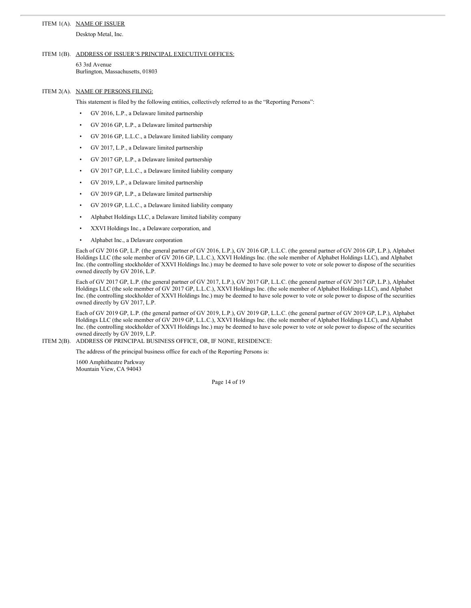# ITEM 1(A). NAME OF ISSUER

Desktop Metal, Inc.

#### ITEM 1(B). ADDRESS OF ISSUER'S PRINCIPAL EXECUTIVE OFFICES:

```
63 3rd Avenue
Burlington, Massachusetts, 01803
```
ITEM 2(A). NAME OF PERSONS FILING:

This statement is filed by the following entities, collectively referred to as the "Reporting Persons":

- GV 2016, L.P., a Delaware limited partnership
- GV 2016 GP, L.P., a Delaware limited partnership
- GV 2016 GP, L.L.C., a Delaware limited liability company
- GV 2017, L.P., a Delaware limited partnership
- GV 2017 GP, L.P., a Delaware limited partnership
- GV 2017 GP, L.L.C., a Delaware limited liability company
- GV 2019, L.P., a Delaware limited partnership
- GV 2019 GP, L.P., a Delaware limited partnership
- GV 2019 GP, L.L.C., a Delaware limited liability company
- Alphabet Holdings LLC, a Delaware limited liability company
- XXVI Holdings Inc., a Delaware corporation, and
- Alphabet Inc., a Delaware corporation

Each of GV 2016 GP, L.P. (the general partner of GV 2016, L.P.), GV 2016 GP, L.L.C. (the general partner of GV 2016 GP, L.P.), Alphabet Holdings LLC (the sole member of GV 2016 GP, L.L.C.), XXVI Holdings Inc. (the sole member of Alphabet Holdings LLC), and Alphabet Inc. (the controlling stockholder of XXVI Holdings Inc.) may be deemed to have sole power to vote or sole power to dispose of the securities owned directly by GV 2016, L.P.

Each of GV 2017 GP, L.P. (the general partner of GV 2017, L.P.), GV 2017 GP, L.L.C. (the general partner of GV 2017 GP, L.P.), Alphabet Holdings LLC (the sole member of GV 2017 GP, L.L.C.), XXVI Holdings Inc. (the sole member of Alphabet Holdings LLC), and Alphabet Inc. (the controlling stockholder of XXVI Holdings Inc.) may be deemed to have sole power to vote or sole power to dispose of the securities owned directly by GV 2017, L.P.

Each of GV 2019 GP, L.P. (the general partner of GV 2019, L.P.), GV 2019 GP, L.L.C. (the general partner of GV 2019 GP, L.P.), Alphabet Holdings LLC (the sole member of GV 2019 GP, L.L.C.), XXVI Holdings Inc. (the sole member of Alphabet Holdings LLC), and Alphabet Inc. (the controlling stockholder of XXVI Holdings Inc.) may be deemed to have sole power to vote or sole power to dispose of the securities owned directly by GV 2019, L.P.

ITEM 2(B). ADDRESS OF PRINCIPAL BUSINESS OFFICE, OR, IF NONE, RESIDENCE:

The address of the principal business office for each of the Reporting Persons is:

1600 Amphitheatre Parkway Mountain View, CA 94043

Page 14 of 19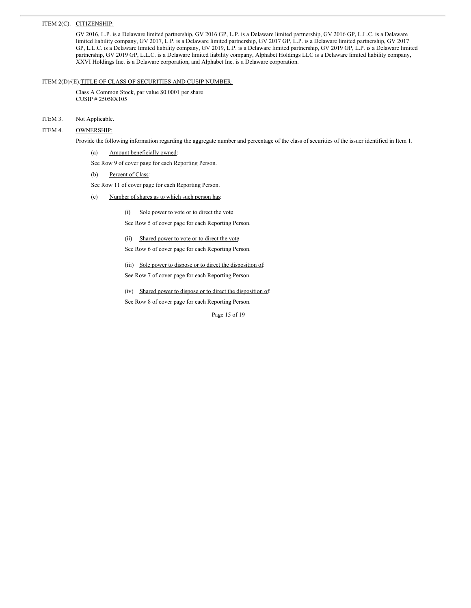### ITEM 2(C). CITIZENSHIP:

GV 2016, L.P. is a Delaware limited partnership, GV 2016 GP, L.P. is a Delaware limited partnership, GV 2016 GP, L.L.C. is a Delaware limited liability company, GV 2017, L.P. is a Delaware limited partnership, GV 2017 GP, L.P. is a Delaware limited partnership, GV 2017 GP, L.L.C. is a Delaware limited liability company, GV 2019, L.P. is a Delaware limited partnership, GV 2019 GP, L.P. is a Delaware limited partnership, GV 2019 GP, L.L.C. is a Delaware limited liability company, Alphabet Holdings LLC is a Delaware limited liability company, XXVI Holdings Inc. is a Delaware corporation, and Alphabet Inc. is a Delaware corporation.

# ITEM 2(D)/(E).TITLE OF CLASS OF SECURITIES AND CUSIP NUMBER:

Class A Common Stock, par value \$0.0001 per share CUSIP # 25058X105

# ITEM 3. Not Applicable.

# ITEM 4. OWNERSHIP:

Provide the following information regarding the aggregate number and percentage of the class of securities of the issuer identified in Item 1.

(a) Amount beneficially owned:

See Row 9 of cover page for each Reporting Person.

### (b) Percent of Class:

See Row 11 of cover page for each Reporting Person.

# (c) Number of shares as to which such person has:

(i) Sole power to vote or to direct the vote

See Row 5 of cover page for each Reporting Person.

- (ii) Shared power to vote or to direct the vote
- See Row 6 of cover page for each Reporting Person.
- (iii) Sole power to dispose or to direct the disposition of
- See Row 7 of cover page for each Reporting Person.
- (iv) Shared power to dispose or to direct the disposition of:

See Row 8 of cover page for each Reporting Person.

Page 15 of 19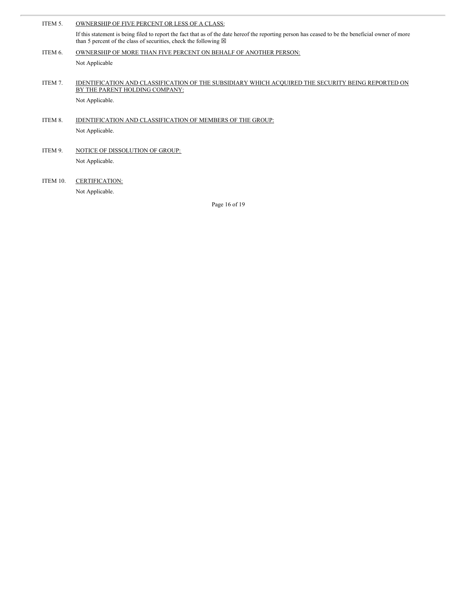| ITEM 5.  | OWNERSHIP OF FIVE PERCENT OR LESS OF A CLASS:                                                                                                                                                                                   |
|----------|---------------------------------------------------------------------------------------------------------------------------------------------------------------------------------------------------------------------------------|
|          | If this statement is being filed to report the fact that as of the date hereof the reporting person has ceased to be the beneficial owner of more<br>than 5 percent of the class of securities, check the following $\boxtimes$ |
| ITEM 6.  | OWNERSHIP OF MORE THAN FIVE PERCENT ON BEHALF OF ANOTHER PERSON:                                                                                                                                                                |
|          | Not Applicable                                                                                                                                                                                                                  |
|          |                                                                                                                                                                                                                                 |
| ITEM 7.  | IDENTIFICATION AND CLASSIFICATION OF THE SUBSIDIARY WHICH ACQUIRED THE SECURITY BEING REPORTED ON                                                                                                                               |
|          | BY THE PARENT HOLDING COMPANY:                                                                                                                                                                                                  |
|          | Not Applicable.                                                                                                                                                                                                                 |
|          |                                                                                                                                                                                                                                 |
| ITEM 8.  | IDENTIFICATION AND CLASSIFICATION OF MEMBERS OF THE GROUP:                                                                                                                                                                      |
|          | Not Applicable.                                                                                                                                                                                                                 |
|          |                                                                                                                                                                                                                                 |
| ITEM 9.  | NOTICE OF DISSOLUTION OF GROUP:                                                                                                                                                                                                 |
|          | Not Applicable.                                                                                                                                                                                                                 |
|          |                                                                                                                                                                                                                                 |
| ITEM 10. | <b>CERTIFICATION:</b>                                                                                                                                                                                                           |
|          | Not Applicable.                                                                                                                                                                                                                 |

Page 16 of 19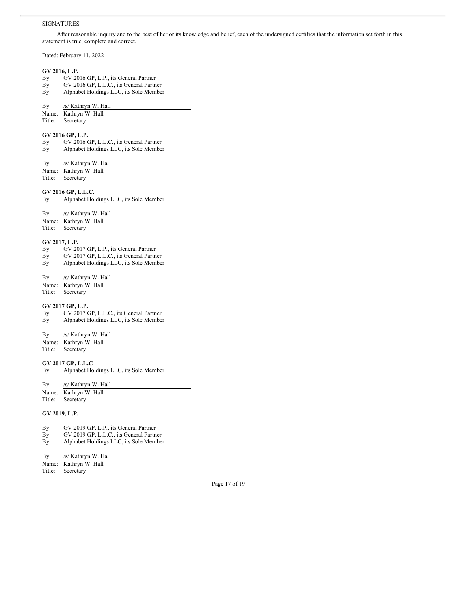### **SIGNATURES**

After reasonable inquiry and to the best of her or its knowledge and belief, each of the undersigned certifies that the information set forth in this statement is true, complete and correct.

Dated: February 11, 2022

# **GV 2016, L.P.**

- By: GV 2016 GP, L.P., its General Partner
- By: GV 2016 GP, L.L.C., its General Partner
- By: Alphabet Holdings LLC, its Sole Member
- By: /s/ Kathryn W. Hall
- Name: Kathryn W. Hall
- Title: Secretary

# **GV 2016 GP, L.P.**

- By: GV 2016 GP, L.L.C., its General Partner
- By: Alphabet Holdings LLC, its Sole Member
- By: /s/ Kathryn W. Hall
- Name: Kathryn W. Hall

Title: Secretary

#### **GV 2016 GP, L.L.C.**

By: Alphabet Holdings LLC, its Sole Member

- By: /s/ Kathryn W. Hall
- Name: Kathryn W. Hall
- Title: Secretary

# **GV 2017, L.P.**

- 
- By: GV 2017 GP, L.P., its General Partner<br>Bv: GV 2017 GP, L.L.C., its General Partn By: GV 2017 GP, L.L.C., its General Partner
- By: Alphabet Holdings LLC, its Sole Member

#### By: /s/ Kathryn W. Hall

- Name: Kathryn W. Hall
- Title: Secretary

# **GV 2017 GP, L.P.**

- By: GV 2017 GP, L.L.C., its General Partner
- By: Alphabet Holdings LLC, its Sole Member
- By: /s/ Kathryn W. Hall
- Name: Kathryn W. Hall<br>Title: Secretary
- Secretary

# **GV 2017 GP, L.L.C**

By: Alphabet Holdings LLC, its Sole Member

| By: | /s/ Kathryn W. Hall |  |
|-----|---------------------|--|
|     |                     |  |

- Name: Kathryn W. Hall Title: Secretary
- 

# **GV 2019, L.P.**

- By: GV 2019 GP, L.P., its General Partner
- By: GV 2019 GP, L.L.C., its General Partner
- By: Alphabet Holdings LLC, its Sole Member

| /s/ Kathryn W. Hall<br>By: |
|----------------------------|
|----------------------------|

- Name: Kathryn W. Hall<br>Title: Secretary Secretary
- 

Page 17 of 19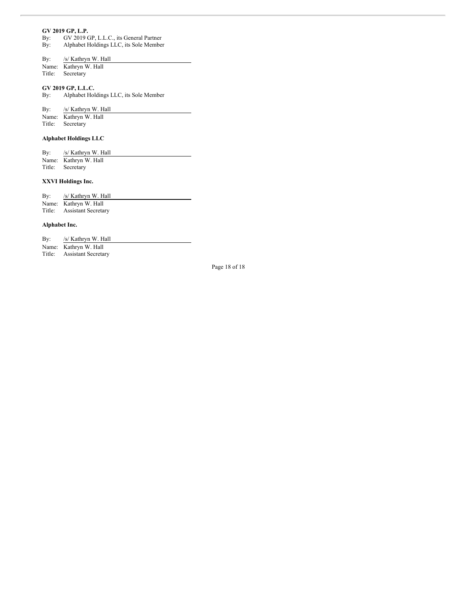#### **GV 2019 GP, L.P.**

By: GV 2019 GP, L.L.C., its General Partner

By: Alphabet Holdings LLC, its Sole Member

# By: /s/ Kathryn W. Hall

Name: Kathryn W. Hall Title: Secretary

# **GV 2019 GP, L.L.C.**

By: Alphabet Holdings LLC, its Sole Member

By: /s/ Kathryn W. Hall

Name: Kathryn W. Hall Title: Secretary

# **Alphabet Holdings LLC**

| By: | /s/ Kathryn W. Hall   |
|-----|-----------------------|
|     | Name: Kathryn W. Hall |
|     | Title: Secretary      |

# **XXVI Holdings Inc.**

| $\rm\,By:$ | /s/ Kathryn W. Hall        |
|------------|----------------------------|
|            | Name: Kathryn W. Hall      |
| Title:     | <b>Assistant Secretary</b> |

# **Alphabet Inc.**

| $\mathbf{By:}$ | /s/ Kathryn W. Hall        |
|----------------|----------------------------|
|                | Name: Kathryn W. Hall      |
|                | Title: Assistant Secretary |

Page 18 of 18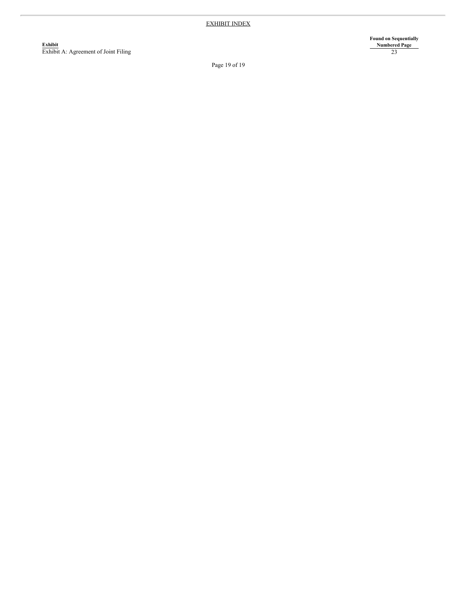**E x h ib i t** Exhibit A: Agreement of Joint Filing **Found on Sequentially N u m b e r e d P a g e** 2 3

Page 19 of 19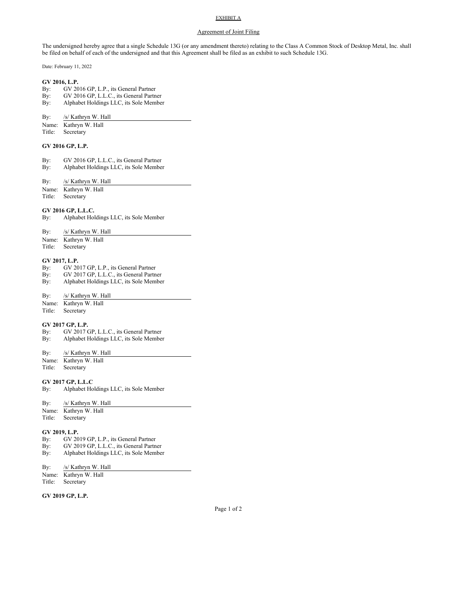# EXHIBIT A

#### Agreement of Joint Filing

The undersigned hereby agree that a single Schedule 13G (or any amendment thereto) relating to the Class A Common Stock of Desktop Metal, Inc. shall be filed on behalf of each of the undersigned and that this Agreement shall be filed as an exhibit to such Schedule 13G.

Date: February 11, 2022

#### **GV 2016, L.P.**

- By: GV 2016 GP, L.P., its General Partner
- By: GV 2016 GP, L.L.C., its General Partner
- By: Alphabet Holdings LLC, its Sole Member

By: /s/ Kathryn W. Hall

- Name: Kathryn W. Hall
- Title: Secretary

### **GV 2016 GP, L.P.**

- By: GV 2016 GP, L.L.C., its General Partner
- By: Alphabet Holdings LLC, its Sole Member
- By: /s/ Kathryn W. Hall
- Name: Kathryn W. Hall
- Title: Secretary

#### **GV 2016 GP, L.L.C.**

- By: Alphabet Holdings LLC, its Sole Member
- By: /s/ Kathryn W. Hall
- Name: Kathryn W. Hall
- Title: Secretary

#### **GV 2017, L.P.**

- By: GV 2017 GP, L.P., its General Partner
- By: GV 2017 GP, L.L.C., its General Partner
- By: Alphabet Holdings LLC, its Sole Member

#### By: /s/ Kathryn W. Hall

Name: Kathryn W. Hall

Title: Secretary

### **GV 2017 GP, L.P.**

- By: GV 2017 GP, L.L.C., its General Partner
- By: Alphabet Holdings LLC, its Sole Member

#### By: /s/ Kathryn W. Hall

Name: Kathryn W. Hall Title: Secretary

# **GV 2017 GP, L.L.C**

By: Alphabet Holdings LLC, its Sole Member

# By: /s/ Kathryn W. Hall

Name: Kathryn W. Hall Title: Secretary

#### **GV 2019, L.P.**

- By: GV 2019 GP, L.P., its General Partner
- By: GV 2019 GP, L.L.C., its General Partner
- By: Alphabet Holdings LLC, its Sole Member

#### By: /s/ Kathryn W. Hall

- Name: Kathryn W. Hall
- Title: Secretary

#### **GV 2019 GP, L.P.**